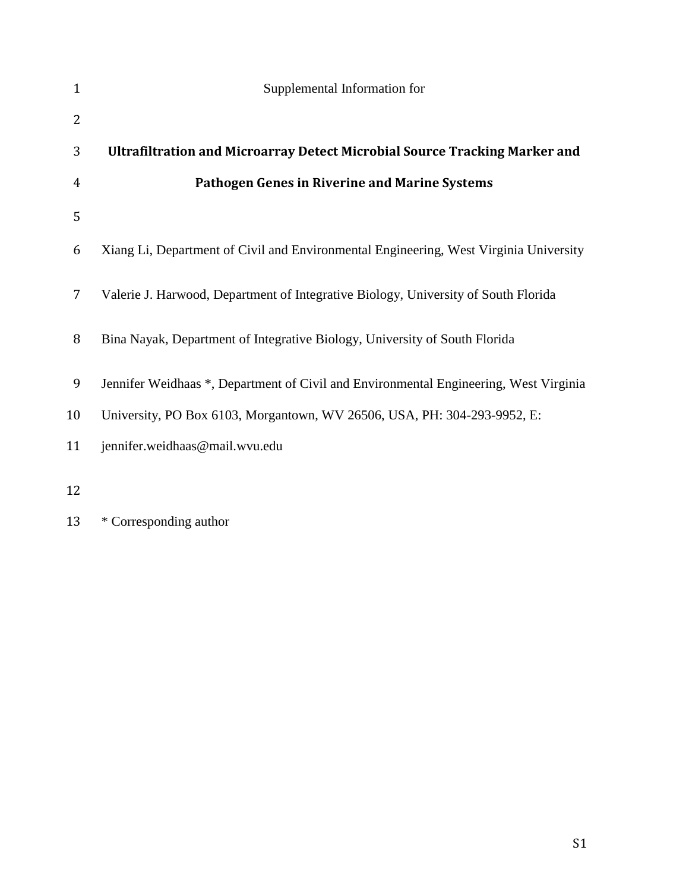| $\mathbf{1}$   | Supplemental Information for                                                          |
|----------------|---------------------------------------------------------------------------------------|
| $\overline{2}$ |                                                                                       |
| 3              | Ultrafiltration and Microarray Detect Microbial Source Tracking Marker and            |
| 4              | <b>Pathogen Genes in Riverine and Marine Systems</b>                                  |
| 5              |                                                                                       |
| 6              | Xiang Li, Department of Civil and Environmental Engineering, West Virginia University |
| $\overline{7}$ | Valerie J. Harwood, Department of Integrative Biology, University of South Florida    |
| 8              | Bina Nayak, Department of Integrative Biology, University of South Florida            |
| 9              | Jennifer Weidhaas *, Department of Civil and Environmental Engineering, West Virginia |
| 10             | University, PO Box 6103, Morgantown, WV 26506, USA, PH: 304-293-9952, E:              |
| 11             | jennifer.weidhaas@mail.wvu.edu                                                        |
| 12             |                                                                                       |

\* Corresponding author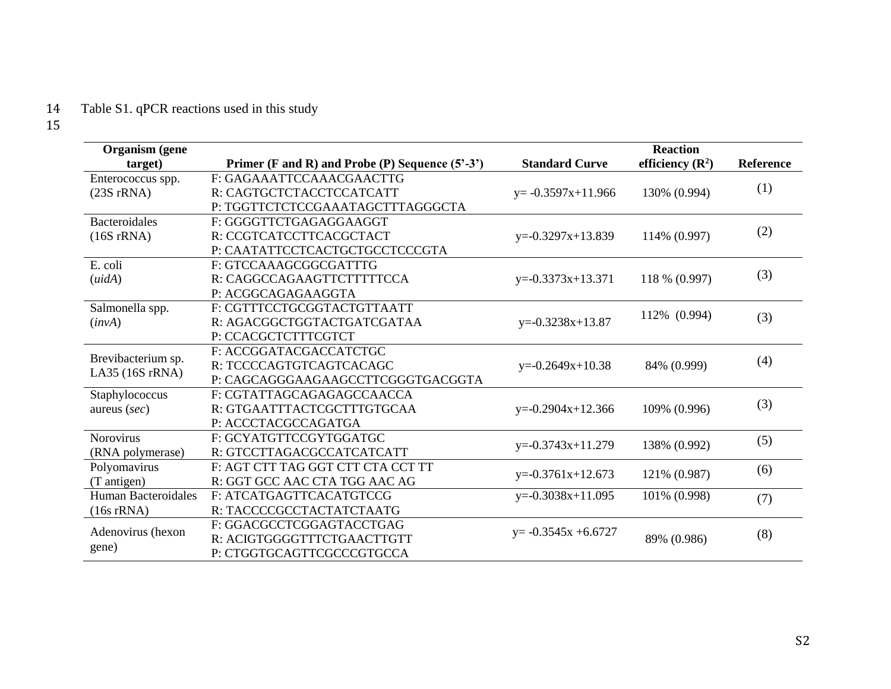## Table S1. qPCR reactions used in this study  $\frac{14}{15}$

| <b>Organism</b> (gene      |                                                     |                                   | <b>Reaction</b>    |               |     |
|----------------------------|-----------------------------------------------------|-----------------------------------|--------------------|---------------|-----|
| target)                    | Primer (F and R) and Probe (P) Sequence $(5' - 3')$ | <b>Standard Curve</b>             | efficiency $(R^2)$ | Reference     |     |
| Enterococcus spp.          | F: GAGAAATTCCAAACGAACTTG                            |                                   |                    |               |     |
| $(23S \, rRNA)$            | R: CAGTGCTCTACCTCCATCATT                            | $y = -0.3597x + 11.966$           | 130% (0.994)       | (1)           |     |
|                            | P: TGGTTCTCTCCGAAATAGCTTTAGGGCTA                    |                                   |                    |               |     |
| <b>Bacteroidales</b>       | F: GGGGTTCTGAGAGGAAGGT                              |                                   |                    |               |     |
| $(16S \, rRNA)$            | R: CCGTCATCCTTCACGCTACT                             | $y=0.3297x+13.839$                | 114% (0.997)       | (2)           |     |
|                            | P: CAATATTCCTCACTGCTGCCTCCCGTA                      |                                   |                    |               |     |
| E. coli                    | F: GTCCAAAGCGGCGATTTG                               |                                   |                    |               |     |
| (uidA)                     | R: CAGGCCAGAAGTTCTTTTTCCA                           | $y=0.3373x+13.371$                |                    | 118 % (0.997) | (3) |
|                            | P: ACGGCAGAGAAGGTA                                  |                                   |                    |               |     |
| Salmonella spp.            | F: CGTTTCCTGCGGTACTGTTAATT                          | 112% (0.994)<br>$y=0.3238x+13.87$ |                    |               |     |
| (invA)                     | R: AGACGGCTGGTACTGATCGATAA                          |                                   |                    | (3)           |     |
|                            | P: CCACGCTCTTTCGTCT                                 |                                   |                    |               |     |
| Brevibacterium sp.         | F: ACCGGATACGACCATCTGC                              |                                   |                    |               |     |
| LA35 (16S rRNA)            | R: TCCCCAGTGTCAGTCACAGC                             | $y=0.2649x+10.38$                 | 84% (0.999)        | (4)           |     |
|                            | P: CAGCAGGGAAGAAGCCTTCGGGTGACGGTA                   |                                   |                    |               |     |
| Staphylococcus             | F: CGTATTAGCAGAGAGCCAACCA                           |                                   |                    |               |     |
| aureus $(sec)$             | R: GTGAATTTACTCGCTTTGTGCAA                          | $y=0.2904x+12.366$                | 109% (0.996)       | (3)           |     |
|                            | P: ACCCTACGCCAGATGA                                 |                                   |                    |               |     |
| <b>Norovirus</b>           | F: GCYATGTTCCGYTGGATGC                              | $y=0.3743x+11.279$                | 138% (0.992)       | (5)           |     |
| (RNA polymerase)           | R: GTCCTTAGACGCCATCATCATT                           |                                   |                    |               |     |
| Polyomavirus               | F: AGT CTT TAG GGT CTT CTA CCT TT                   |                                   | 121% (0.987)       | (6)           |     |
| (T antigen)                | R: GGT GCC AAC CTA TGG AAC AG                       | $y=0.3761x+12.673$                |                    |               |     |
| <b>Human Bacteroidales</b> | F: ATCATGAGTTCACATGTCCG                             | $y=0.3038x+11.095$                | 101% (0.998)       | (7)           |     |
| $(16s$ rRNA $)$            | R: TACCCCGCCTACTATCTAATG                            |                                   |                    |               |     |
|                            | F: GGACGCCTCGGAGTACCTGAG                            | $y = -0.3545x + 6.6727$           | 89% (0.986)        | (8)           |     |
| Adenovirus (hexon          | R: ACIGTGGGGTTTCTGAACTTGTT                          |                                   |                    |               |     |
| gene)                      | P: CTGGTGCAGTTCGCCCGTGCCA                           |                                   |                    |               |     |